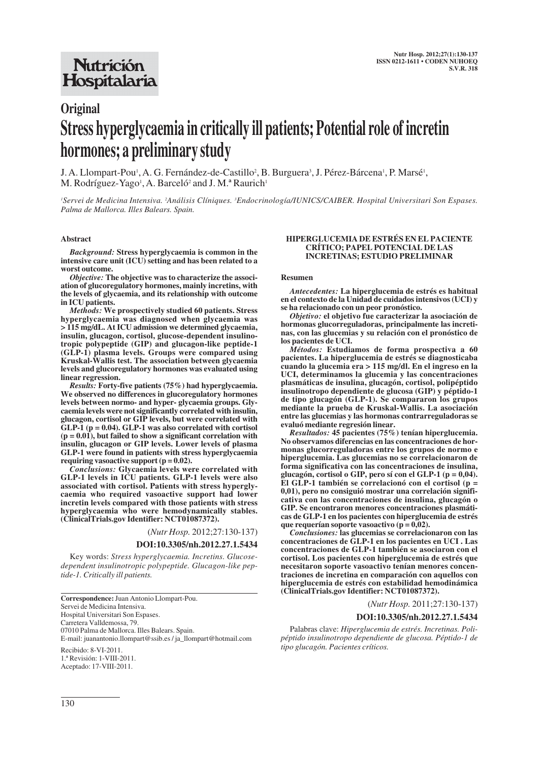# **Original Stress hyperglycaemia in critically ill patients; Potential role of incretin hormones; a preliminary study**

J. A. Llompart-Pou<sup>1</sup>, A. G. Fernández-de-Castillo<sup>2</sup>, B. Burguera<sup>3</sup>, J. Pérez-Bárcena<sup>1</sup>, P. Marsé<sup>1</sup>, M. Rodríguez-Yago<sup>1</sup>, A. Barceló<sup>2</sup> and J. M.ª Raurich<sup>1</sup>

'Servei de Medicina Intensiva. <sup>2</sup>Análisis Clíniques. <sup>3</sup>Endocrinología/IUNICS/CAIBER. Hospital Universitari Son Espases. *Palma de Mallorca. Illes Balears. Spain.*

#### **Abstract**

*Background:* **Stress hyperglycaemia is common in the intensive care unit (ICU) setting and has been related to a worst outcome.**

*Objective:* **The objective was to characterize the association of glucoregulatory hormones, mainly incretins, with the levels of glycaemia, and its relationship with outcome in ICU patients.** 

*Methods:* **We prospectively studied 60 patients. Stress hyperglycaemia was diagnosed when glycaemia was > 115 mg/dL. At ICU admission we determined glycaemia, insulin, glucagon, cortisol, glucose-dependent insulino tropic polypeptide (GIP) and glucagon-like peptide-1 (GLP-1) plasma levels. Groups were compared using Kruskal-Wallis test. The association between glycaemia levels and glucoregulatory hormones was evaluated using linear regression.**

*Results:* **Forty-five patients (75%) had hyperglycaemia. We observed no differences in glucoregulatory hormones levels between normo- and hyper- glycaemia groups. Glycaemia levels were not significantly correlated with insulin, glucagon, cortisol or GIP levels, but were correlated with GLP-1 (p = 0.04). GLP-1 was also correlated with cortisol (p = 0.01), but failed to show a significant correlation with insulin, glucagon or GIP levels. Lower levels of plasma GLP-1 were found in patients with stress hyperglycaemia requiring vasoactive support (p = 0.02).**

*Conclusions:* **Glycaemia levels were correlated with GLP-1 levels in ICU patients. GLP-1 levels were also associated with cortisol. Patients with stress hyperglycaemia who required vasoactive support had lower incretin levels compared with those patients with stress hyperglycaemia who were hemodynamically stables. (ClinicalTrials.gov Identifier: NCT01087372).**

(*Nutr Hosp.* 2012;27:130-137)

#### **DOI:10.3305/nh.2012.27.1.5434**

Key words: *Stress hyperglycaemia. Incretins. Glucosedependent insulinotropic polypeptide. Glucagon-like peptide-1. Critically ill patients.*

**Correspondence:**Juan Antonio Llompart-Pou. Servei de Medicina Intensiva. Hospital Universitari Son Espases. Carretera Valldemossa, 79. 07010 Palma de Mallorca. Illes Balears. Spain. E-mail: juanantonio.llompart@ssib.es / ja\_llompart@hotmail.com Recibido: 8-VI-2011. 1.ª Revisión: 1-VIII-2011. Aceptado: 17-VIII-2011.

#### **HIPERGLUCEMIA DE ESTRÉS EN EL PACIENTE CRÍTICO; PAPEL POTENCIAL DE LAS INCRETINAS; ESTUDIO PRELIMINAR**

#### **Resumen**

*Antecedentes:* **La hiperglucemia de estrés es habitual en el contexto de la Unidad de cuidados intensivos (UCI) y se ha relacionado con un peor pronóstico.** 

*Objetivo:* **el objetivo fue caracterizar la asociación de hormonas glucorreguladoras, principalmente las incretinas, con las glucemias y su relación con el pronóstico de los pacientes de UCI.** 

*Métodos:* **Estudiamos de forma prospectiva a 60 pacientes. La hiperglucemia de estrés se diagnosticaba cuando la glucemia era > 115 mg/dl. En el ingreso en la UCI, determinamos la glucemia y las concentraciones plasmáticas de insulina, glucagón, cortisol, polipéptido insulinotropo dependiente de glucosa (GIP) y péptido-1 de tipo glucagón (GLP-1). Se compararon los grupos mediante la prueba de Kruskal-Wallis. La asociación entre las glucemias y las hormonas contrarreguladoras se evaluó mediante regresión linear.** 

*Resultados:* **45 pacientes (75%) tenían hiperglucemia. No observamos diferencias en las concentraciones de hormonas glucorreguladoras entre los grupos de normo e hiperglucemia. Las glucemias no se correlacionaron de forma significativa con las concentraciones de insulina, glucagón, cortisol o GIP, pero sí con el GLP-1 (p = 0,04). El GLP-1 también se correlacionó con el cortisol (p = 0,01), pero no consiguió mostrar una correlación significativa con las concentraciones de insulina, glucagón o GIP. Se encontraron menores concentraciones plasmáticas de GLP-1 en los pacientes con hiperglucemia de estrés que requerían soporte vasoactivo (p = 0,02).** 

*Conclusiones:* **las glucemias se correlacionaron con las concentraciones de GLP-1 en los pacientes en UCI . Las concentraciones de GLP-1 también se asociaron con el cortisol. Los pacientes con hiperglucemia de estrés que necesitaron soporte vasoactivo tenían menores concentraciones de incretina en comparación con aquellos con hiperglucemia de estrés con estabilidad hemodinámica (ClinicalTrials.gov Identifier: NCT01087372).**

(*Nutr Hosp.* 2011;27:130-137)

#### **DOI:10.3305/nh.2012.27.1.5434**

Palabras clave: *Hiperglucemia de estrés. Incretinas. Polipéptido insulinotropo dependiente de glucosa. Péptido-1 de tipo glucagón. Pacientes críticos.*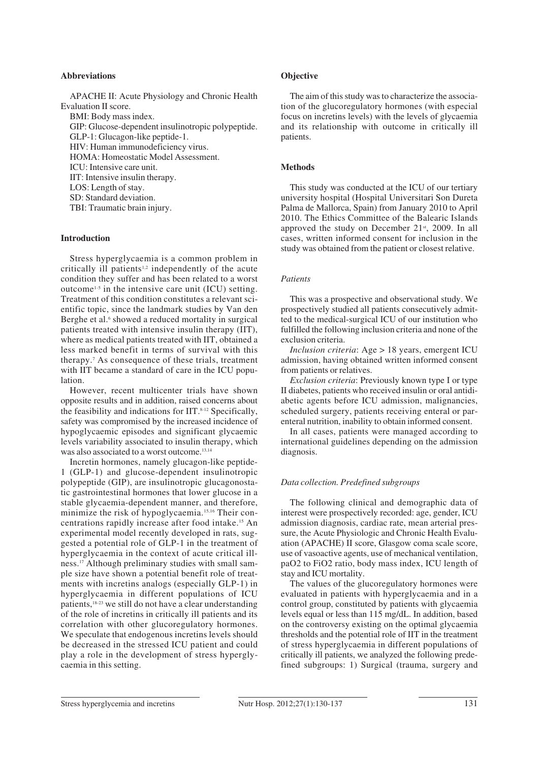#### **Abbreviations**

APACHE II: Acute Physiology and Chronic Health Evaluation II score.

BMI: Body mass index.

GIP: Glucose-dependent insulinotropic polypeptide.

GLP-1: Glucagon-like peptide-1.

HIV: Human immunodeficiency virus.

HOMA: Homeostatic Model Assessment.

ICU: Intensive care unit.

IIT: Intensive insulin therapy.

LOS: Length of stay. SD: Standard deviation.

TBI: Traumatic brain injury.

#### **Introduction**

Stress hyperglycaemia is a common problem in critically ill patients<sup>1,2</sup> independently of the acute condition they suffer and has been related to a worst outcome1-5 in the intensive care unit (ICU) setting. Treatment of this condition constitutes a relevant scientific topic, since the landmark studies by Van den Berghe et al.<sup>6</sup> showed a reduced mortality in surgical patients treated with intensive insulin therapy (IIT), where as medical patients treated with IIT, obtained a less marked benefit in terms of survival with this therapy.7 As consequence of these trials, treatment with IIT became a standard of care in the ICU population.

However, recent multicenter trials have shown opposite results and in addition, raised concerns about the feasibility and indications for  $\text{IIT}.^{8-12}$  Specifically, safety was compromised by the increased incidence of hypoglycaemic episodes and significant glycaemic levels variability associated to insulin therapy, which was also associated to a worst outcome.<sup>13,14</sup>

Incretin hormones, namely glucagon-like peptide-1 (GLP-1) and glucose-dependent insulinotropic polypeptide (GIP), are insulinotropic glucagonostatic gastrointestinal hormones that lower glucose in a stable glycaemia-dependent manner, and therefore, minimize the risk of hypoglycaemia.15,16 Their concentrations rapidly increase after food intake.15 An experimental model recently developed in rats, suggested a potential role of GLP-1 in the treatment of hyperglycaemia in the context of acute critical illness.17 Although preliminary studies with small sample size have shown a potential benefit role of treatments with incretins analogs (especially GLP-1) in hyperglycaemia in different populations of ICU patients,18-23 we still do not have a clear understanding of the role of incretins in critically ill patients and its correlation with other glucoregulatory hormones. We speculate that endogenous incretins levels should be decreased in the stressed ICU patient and could play a role in the development of stress hyperglycaemia in this setting.

#### **Objective**

The aim of this study was to characterize the association of the glucoregulatory hormones (with especial focus on incretins levels) with the levels of glycaemia and its relationship with outcome in critically ill patients.

#### **Methods**

This study was conducted at the ICU of our tertiary university hospital (Hospital Universitari Son Dureta Palma de Mallorca, Spain) from January 2010 to April 2010. The Ethics Committee of the Balearic Islands approved the study on December  $21^{st}$ , 2009. In all cases, written informed consent for inclusion in the study was obtained from the patient or closest relative.

#### *Patients*

This was a prospective and observational study. We prospectively studied all patients consecutively admitted to the medical-surgical ICU of our institution who fulfilled the following inclusion criteria and none of the exclusion criteria.

*Inclusion criteria*: Age > 18 years, emergent ICU admission, having obtained written informed consent from patients or relatives.

*Exclusion criteria*: Previously known type I or type II diabetes, patients who received insulin or oral antidiabetic agents before ICU admission, malignancies, scheduled surgery, patients receiving enteral or parenteral nutrition, inability to obtain informed consent.

In all cases, patients were managed according to international guidelines depending on the admission diagnosis.

#### *Data collection. Predefined subgroups*

The following clinical and demographic data of interest were prospectively recorded: age, gender, ICU admission diagnosis, cardiac rate, mean arterial pressure, the Acute Physiologic and Chronic Health Evaluation (APACHE) II score, Glasgow coma scale score, use of vasoactive agents, use of mechanical ventilation, paO2 to FiO2 ratio, body mass index, ICU length of stay and ICU mortality.

The values of the glucoregulatory hormones were evaluated in patients with hyperglycaemia and in a control group, constituted by patients with glycaemia levels equal or less than 115 mg/dL. In addition, based on the controversy existing on the optimal glycaemia thresholds and the potential role of IIT in the treatment of stress hyperglycaemia in different populations of critically ill patients, we analyzed the following predefined subgroups: 1) Surgical (trauma, surgery and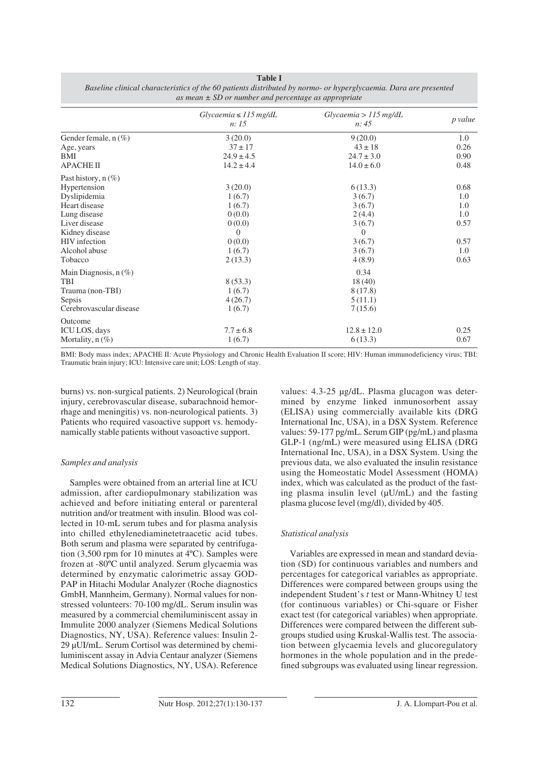|                         | $Glycaemia \leq 115 mg/dL$<br><i>n</i> : 15 | Glycaemia > 115 mg/dL<br>n: 45 | p value |
|-------------------------|---------------------------------------------|--------------------------------|---------|
| Gender female, $n$ (%)  | 3(20.0)                                     | 9(20.0)                        | 1.0     |
| Age, years              | $37 \pm 17$                                 | $43 \pm 18$                    | 0.26    |
| BMI                     | $24.9 \pm 4.5$                              | $24.7 \pm 3.0$                 | 0.90    |
| <b>APACHE II</b>        | $14.2 \pm 4.4$                              | $14.0 \pm 6.0$                 | 0.48    |
| Past history, $n$ (%)   |                                             |                                |         |
| Hypertension            | 3(20.0)                                     | 6(13.3)                        | 0.68    |
| Dyslipidemia            | 1(6.7)                                      | 3(6.7)                         | 1.0     |
| Heart disease           | 1(6.7)                                      | 3(6.7)                         | 1.0     |
| Lung disease            | 0(0.0)                                      | 2(4.4)                         | 1.0     |
| Liver disease           | 0(0.0)                                      | 3(6.7)                         | 0.57    |
| Kidney disease          | $\Omega$                                    | 0                              |         |
| <b>HIV</b> infection    | 0(0.0)                                      | 3(6.7)                         | 0.57    |
| Alcohol abuse           | 1(6.7)                                      | 3(6.7)                         | 1.0     |
| Tobacco                 | 2(13.3)                                     | 4(8.9)                         | 0.63    |
| Main Diagnosis, $n(\%)$ |                                             | 0.34                           |         |
| TBI                     | 8(53.3)                                     | 18(40)                         |         |
| Trauma (non-TBI)        | 1(6.7)                                      | 8(17.8)                        |         |
| Sepsis                  | 4(26.7)                                     | 5(11.1)                        |         |
| Cerebrovascular disease | 1(6.7)                                      | 7(15.6)                        |         |
| Outcome                 |                                             |                                |         |
| ICU LOS, days           | $7.7 \pm 6.8$                               | $12.8 \pm 12.0$                | 0.25    |
| Mortality, $n$ (%)      | 1(6.7)                                      | 6(13.3)                        | 0.67    |

**Table I** *Baseline clinical characteristics of the 60 patients distributed by normo- or hyperglycaemia. Dara are presented as mean ± SD or number and percentage as appropriate*

BMI: Body mass index; APACHE II: Acute Physiology and Chronic Health Evaluation II score; HIV: Human immunodeficiency virus; TBI: Traumatic brain injury; ICU: Intensive care unit; LOS: Length of stay.

burns) vs. non-surgical patients. 2) Neurological (brain injury, cerebrovascular disease, subarachnoid hemorrhage and meningitis) vs. non-neurological patients. 3) Patients who required vasoactive support vs. hemodynamically stable patients without vasoactive support.

## *Samples and analysis*

Samples were obtained from an arterial line at ICU admission, after cardiopulmonary stabilization was achieved and before initiating enteral or parenteral nutrition and/or treatment with insulin. Blood was collected in 10-mL serum tubes and for plasma analysis into chilled ethylenediaminetetraacetic acid tubes. Both serum and plasma were separated by centrifugation (3,500 rpm for 10 minutes at 4ºC). Samples were frozen at -80ºC until analyzed. Serum glycaemia was determined by enzymatic calorimetric assay GOD-PAP in Hitachi Modular Analyzer (Roche diagnostics GmbH, Mannheim, Germany). Normal values for nonstressed volunteers: 70-100 mg/dL. Serum insulin was measured by a commercial chemiluminiscent assay in Immulite 2000 analyzer (Siemens Medical Solutions Diagnostics, NY, USA). Reference values: Insulin 2- 29 μUI/mL. Serum Cortisol was determined by chemiluminiscent assay in Advia Centaur analyzer (Siemens Medical Solutions Diagnostics, NY, USA). Reference values: 4.3-25 μg/dL. Plasma glucagon was determined by enzyme linked inmunosorbent assay (ELISA) using commercially available kits (DRG International Inc, USA), in a DSX System. Reference values: 59-177 pg/mL. Serum GIP (pg/mL) and plasma GLP-1 (ng/mL) were measured using ELISA (DRG International Inc, USA), in a DSX System. Using the previous data, we also evaluated the insulin resistance using the Homeostatic Model Assessment (HOMA) index, which was calculated as the product of the fasting plasma insulin level (μU/mL) and the fasting plasma glucose level (mg/dl), divided by 405.

# *Statistical analysis*

Variables are expressed in mean and standard deviation (SD) for continuous variables and numbers and percentages for categorical variables as appropriate. Differences were compared between groups using the independent Student's *t* test or Mann-Whitney U test (for continuous variables) or Chi-square or Fisher exact test (for categorical variables) when appropriate. Differences were compared between the different subgroups studied using Kruskal-Wallis test. The association between glycaemia levels and glucoregulatory hormones in the whole population and in the predefined subgroups was evaluated using linear regression.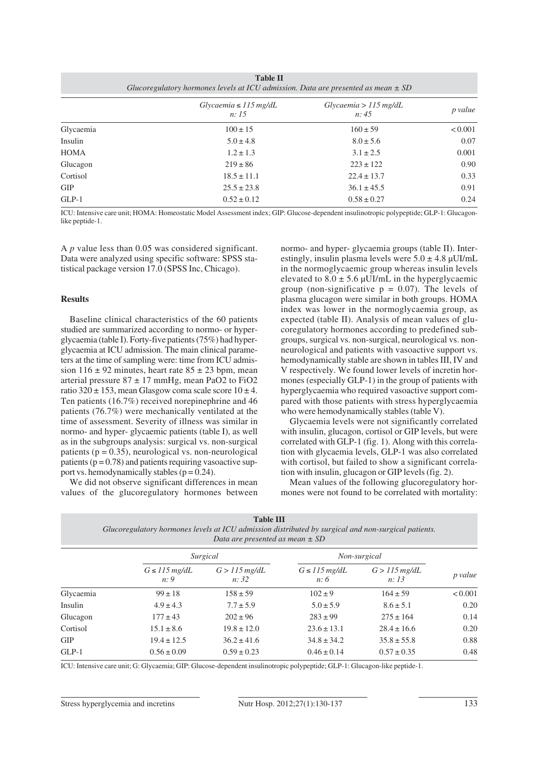| <b>Table II</b><br>Glucoregulatory hormones levels at ICU admission. Data are presented as mean $\pm$ SD |                                     |                                |         |  |  |
|----------------------------------------------------------------------------------------------------------|-------------------------------------|--------------------------------|---------|--|--|
|                                                                                                          | $Glycaemia \leq 115 mg/dL$<br>n: 15 | Glycaemia > 115 mg/dL<br>n: 45 | p value |  |  |
| Glycaemia                                                                                                | $100 \pm 15$                        | $160 \pm 59$                   | < 0.001 |  |  |
| Insulin                                                                                                  | $5.0 \pm 4.8$                       | $8.0 \pm 5.6$                  | 0.07    |  |  |
| <b>HOMA</b>                                                                                              | $1.2 \pm 1.3$                       | $3.1 \pm 2.5$                  | 0.001   |  |  |
| Glucagon                                                                                                 | $219 \pm 86$                        | $223 \pm 122$                  | 0.90    |  |  |
| Cortisol                                                                                                 | $18.5 \pm 11.1$                     | $22.4 \pm 13.7$                | 0.33    |  |  |
| <b>GIP</b>                                                                                               | $25.5 \pm 23.8$                     | $36.1 \pm 45.5$                | 0.91    |  |  |
| $GLP-1$                                                                                                  | $0.52 \pm 0.12$                     | $0.58 \pm 0.27$                | 0.24    |  |  |

ICU: Intensive care unit; HOMA: Homeostatic Model Assessment index; GIP: Glucose-dependent insulinotropic polypeptide; GLP-1: Glucagonlike peptide-1.

A *p* value less than 0.05 was considered significant. Data were analyzed using specific software: SPSS statistical package version 17.0 (SPSS Inc, Chicago).

#### **Results**

Baseline clinical characteristics of the 60 patients studied are summarized according to normo- or hyperglycaemia (table I). Forty-five patients (75%) had hyperglycaemia at ICU admission. The main clinical parameters at the time of sampling were: time from ICU admission  $116 \pm 92$  minutes, heart rate  $85 \pm 23$  bpm, mean arterial pressure  $87 \pm 17$  mmHg, mean PaO2 to FiO2 ratio  $320 \pm 153$ , mean Glasgow coma scale score  $10 \pm 4$ . Ten patients (16.7%) received norepinephrine and 46 patients (76.7%) were mechanically ventilated at the time of assessment. Severity of illness was similar in normo- and hyper- glycaemic patients (table I), as well as in the subgroups analysis: surgical vs. non-surgical patients ( $p = 0.35$ ), neurological vs. non-neurological patients ( $p = 0.78$ ) and patients requiring vasoactive support vs. hemodynamically stables  $(p = 0.24)$ .

We did not observe significant differences in mean values of the glucoregulatory hormones between normo- and hyper- glycaemia groups (table II). Interestingly, insulin plasma levels were  $5.0 \pm 4.8 \mu$ UI/mL in the normoglycaemic group whereas insulin levels elevated to  $8.0 \pm 5.6 \mu$ UI/mL in the hyperglycaemic group (non-significative  $p = 0.07$ ). The levels of plasma glucagon were similar in both groups. HOMA index was lower in the normoglycaemia group, as expected (table II). Analysis of mean values of glucoregulatory hormones according to predefined subgroups, surgical vs. non-surgical, neurological vs. nonneurological and patients with vasoactive support vs. hemodynamically stable are shown in tables III, IV and V respectively. We found lower levels of incretin hormones (especially GLP-1) in the group of patients with hyperglycaemia who required vasoactive support compared with those patients with stress hyperglycaemia who were hemodynamically stables (table V).

Glycaemia levels were not significantly correlated with insulin, glucagon, cortisol or GIP levels, but were correlated with GLP-1 (fig. 1). Along with this correlation with glycaemia levels, GLP-1 was also correlated with cortisol, but failed to show a significant correlation with insulin, glucagon or GIP levels (fig. 2).

Mean values of the following glucoregulatory hormones were not found to be correlated with mortality:

| Data are presented as mean $\pm$ SD |                              |                          |                              |                          |         |
|-------------------------------------|------------------------------|--------------------------|------------------------------|--------------------------|---------|
|                                     | Surgical                     |                          | Non-surgical                 |                          |         |
|                                     | $G \leq 115 \, mg/dL$<br>n:9 | $G > 115$ mg/dL<br>n: 32 | $G \leq 115 \, mg/dL$<br>n:6 | $G > 115$ mg/dL<br>n: 13 | p value |
| Glycaemia                           | $99 \pm 18$                  | $158 \pm 59$             | $102 \pm 9$                  | $164 \pm 59$             | < 0.001 |
| Insulin                             | $4.9 \pm 4.3$                | $7.7 \pm 5.9$            | $5.0 \pm 5.9$                | $8.6 \pm 5.1$            | 0.20    |
| Glucagon                            | $177 \pm 43$                 | $202 \pm 96$             | $283 \pm 99$                 | $275 \pm 164$            | 0.14    |
| Cortisol                            | $15.1 \pm 8.6$               | $19.8 \pm 12.0$          | $23.6 \pm 13.1$              | $28.4 \pm 16.6$          | 0.20    |
| <b>GIP</b>                          | $19.4 \pm 12.5$              | $36.2 \pm 41.6$          | $34.8 \pm 34.2$              | $35.8 \pm 55.8$          | 0.88    |
| $GLP-1$                             | $0.56 \pm 0.09$              | $0.59 \pm 0.23$          | $0.46 \pm 0.14$              | $0.57 \pm 0.35$          | 0.48    |
|                                     |                              |                          |                              |                          |         |

| <b>Table III</b> |                                                                                                     |  |  |  |
|------------------|-----------------------------------------------------------------------------------------------------|--|--|--|
|                  | Glucoregulatory hormones levels at ICU admission distributed by surgical and non-surgical patients. |  |  |  |
|                  | Data are presented as mean $\pm$ SD                                                                 |  |  |  |

ICU: Intensive care unit; G: Glycaemia; GIP: Glucose-dependent insulinotropic polypeptide; GLP-1: Glucagon-like peptide-1.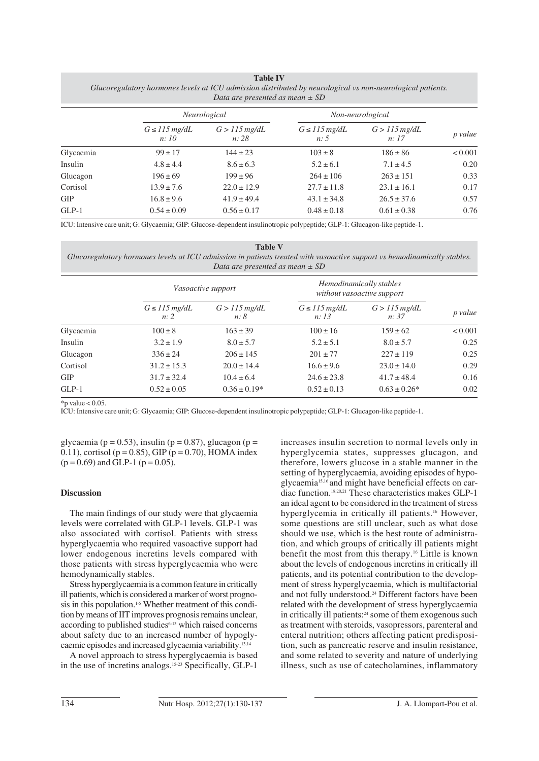| Dura are presented as mean $\pm$ SD   |                          |                              |                          |         |  |
|---------------------------------------|--------------------------|------------------------------|--------------------------|---------|--|
| Neurological                          |                          | Non-neurological             |                          |         |  |
| $G \leq 115 \, mg/dL$<br><i>n:</i> 10 | $G > 115$ mg/dL<br>n: 28 | $G \leq 115 \, mg/dL$<br>n:5 | $G > 115$ mg/dL<br>n: 17 | p value |  |
| $99 \pm 17$                           | $144 \pm 23$             | $103 \pm 8$                  | $186 \pm 86$             | < 0.001 |  |
| $4.8 \pm 4.4$                         | $8.6 \pm 6.3$            | $5.2 \pm 6.1$                | $7.1 \pm 4.5$            | 0.20    |  |
| $196 \pm 69$                          | $199 \pm 96$             | $264 \pm 106$                | $263 \pm 151$            | 0.33    |  |
| $13.9 \pm 7.6$                        | $22.0 \pm 12.9$          | $27.7 \pm 11.8$              | $23.1 \pm 16.1$          | 0.17    |  |
| $16.8 \pm 9.6$                        | $41.9 \pm 49.4$          | $43.1 \pm 34.8$              | $26.5 \pm 37.6$          | 0.57    |  |
| $0.54 \pm 0.09$                       | $0.56 \pm 0.17$          | $0.48 \pm 0.18$              | $0.61 \pm 0.38$          | 0.76    |  |
|                                       |                          |                              |                          |         |  |

**Table IV** *Glucoregulatory hormones levels at ICU admission distributed by neurological vs non-neurological patients. Data are presented as mean ± SD*

ICU: Intensive care unit; G: Glycaemia; GIP: Glucose-dependent insulinotropic polypeptide; GLP-1: Glucagon-like peptide-1.

**Table V**

*Glucoregulatory hormones levels at ICU admission in patients treated with vasoactive support vs hemodinamically stables. Data are presented as mean ± SD*

|            | Vasoactive support           |                        | Hemodinamically stables<br>without vasoactive support |                          |         |
|------------|------------------------------|------------------------|-------------------------------------------------------|--------------------------|---------|
|            | $G \leq 115 \, mg/dL$<br>n:2 | $G > 115$ mg/dL<br>n:8 | $G \leq 115 \, mg/dL$<br>n: 13                        | $G > 115$ mg/dL<br>n: 37 | p value |
| Glycaemia  | $100 \pm 8$                  | $163 \pm 39$           | $100 \pm 16$                                          | $159 \pm 62$             | < 0.001 |
| Insulin    | $3.2 \pm 1.9$                | $8.0 \pm 5.7$          | $5.2 \pm 5.1$                                         | $8.0 \pm 5.7$            | 0.25    |
| Glucagon   | $336 \pm 24$                 | $206 \pm 145$          | $201 \pm 77$                                          | $227 \pm 119$            | 0.25    |
| Cortisol   | $31.2 \pm 15.3$              | $20.0 \pm 14.4$        | $16.6 \pm 9.6$                                        | $23.0 \pm 14.0$          | 0.29    |
| <b>GIP</b> | $31.7 \pm 32.4$              | $10.4 \pm 6.4$         | $24.6 \pm 23.8$                                       | $41.7 \pm 48.4$          | 0.16    |
| $GLP-1$    | $0.52 \pm 0.05$              | $0.36 \pm 0.19*$       | $0.52 \pm 0.13$                                       | $0.63 \pm 0.26^*$        | 0.02    |

 $*$ n value  $< 0.05$ .

ICU: Intensive care unit; G: Glycaemia; GIP: Glucose-dependent insulinotropic polypeptide; GLP-1: Glucagon-like peptide-1.

glycaemia (p = 0.53), insulin (p = 0.87), glucagon (p = 0.11), cortisol ( $p = 0.85$ ), GIP ( $p = 0.70$ ), HOMA index  $(p = 0.69)$  and GLP-1  $(p = 0.05)$ .

## **Discussion**

The main findings of our study were that glycaemia levels were correlated with GLP-1 levels. GLP-1 was also associated with cortisol. Patients with stress hyperglycaemia who required vasoactive support had lower endogenous incretins levels compared with those patients with stress hyperglycaemia who were hemodynamically stables.

Stress hyperglycaemia is a common feature in critically ill patients, which is considered a marker of worst prognosis in this population.<sup>1-5</sup> Whether treatment of this condition by means of IIT improves prognosis remains unclear, according to published studies $6-13$  which raised concerns about safety due to an increased number of hypoglycaemic episodes and increased glycaemia variability.13,14

A novel approach to stress hyperglycaemia is based in the use of incretins analogs.15-23 Specifically, GLP-1

increases insulin secretion to normal levels only in hyperglycemia states, suppresses glucagon, and therefore, lowers glucose in a stable manner in the setting of hyperglycaemia, avoiding episodes of hypoglycaemia15,16 and might have beneficial effects on cardiac function.18,20,21 These characteristics makes GLP-1 an ideal agent to be considered in the treatment of stress hyperglycemia in critically ill patients.<sup>16</sup> However, some questions are still unclear, such as what dose should we use, which is the best route of administration, and which groups of critically ill patients might benefit the most from this therapy.16 Little is known about the levels of endogenous incretins in critically ill patients, and its potential contribution to the development of stress hyperglycaemia, which is multifactorial and not fully understood.<sup>24</sup> Different factors have been related with the development of stress hyperglycaemia in critically ill patients:<sup>24</sup> some of them exogenous such as treatment with steroids, vasopressors, parenteral and enteral nutrition; others affecting patient predisposition, such as pancreatic reserve and insulin resistance, and some related to severity and nature of underlying illness, such as use of catecholamines, inflammatory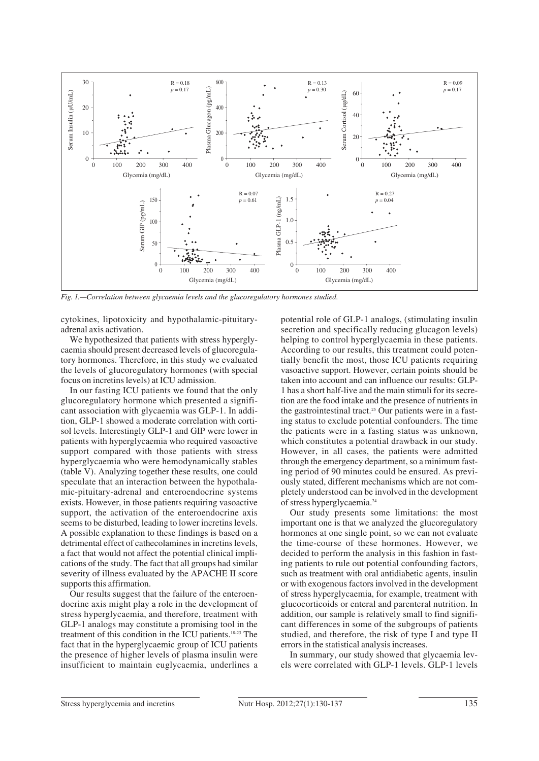

*Fig. 1.—Correlation between glycaemia levels and the glucoregulatory hormones studied.*

cytokines, lipotoxicity and hypothalamic-pituitaryadrenal axis activation.

We hypothesized that patients with stress hyperglycaemia should present decreased levels of glucoregulatory hormones. Therefore, in this study we evaluated the levels of glucoregulatory hormones (with special focus on incretins levels) at ICU admission.

In our fasting ICU patients we found that the only glucoregulatory hormone which presented a significant association with glycaemia was GLP-1. In addition, GLP-1 showed a moderate correlation with cortisol levels. Interestingly GLP-1 and GIP were lower in patients with hyperglycaemia who required vasoactive support compared with those patients with stress hyperglycaemia who were hemodynamically stables (table V). Analyzing together these results, one could speculate that an interaction between the hypothalamic-pituitary-adrenal and enteroendocrine systems exists. However, in those patients requiring vasoactive support, the activation of the enteroendocrine axis seems to be disturbed, leading to lower incretins levels. A possible explanation to these findings is based on a detrimental effect of cathecolamines in incretins levels, a fact that would not affect the potential clinical implications of the study. The fact that all groups had similar severity of illness evaluated by the APACHE II score supports this affirmation.

Our results suggest that the failure of the enteroendocrine axis might play a role in the development of stress hyperglycaemia, and therefore, treatment with GLP-1 analogs may constitute a promising tool in the treatment of this condition in the ICU patients.18-23 The fact that in the hyperglycaemic group of ICU patients the presence of higher levels of plasma insulin were insufficient to maintain euglycaemia, underlines a potential role of GLP-1 analogs, (stimulating insulin secretion and specifically reducing glucagon levels) helping to control hyperglycaemia in these patients. According to our results, this treatment could potentially benefit the most, those ICU patients requiring vasoactive support. However, certain points should be taken into account and can influence our results: GLP-1 has a short half-live and the main stimuli for its secretion are the food intake and the presence of nutrients in the gastrointestinal tract.<sup>25</sup> Our patients were in a fasting status to exclude potential confounders. The time the patients were in a fasting status was unknown, which constitutes a potential drawback in our study. However, in all cases, the patients were admitted through the emergency department, so a minimum fasting period of 90 minutes could be ensured. As previously stated, different mechanisms which are not completely understood can be involved in the development of stress hyperglycaemia.24

Our study presents some limitations: the most important one is that we analyzed the glucoregulatory hormones at one single point, so we can not evaluate the time-course of these hormones. However, we decided to perform the analysis in this fashion in fasting patients to rule out potential confounding factors, such as treatment with oral antidiabetic agents, insulin or with exogenous factors involved in the development of stress hyperglycaemia, for example, treatment with glucocorticoids or enteral and parenteral nutrition. In addition, our sample is relatively small to find significant differences in some of the subgroups of patients studied, and therefore, the risk of type I and type II errors in the statistical analysis increases.

In summary, our study showed that glycaemia levels were correlated with GLP-1 levels. GLP-1 levels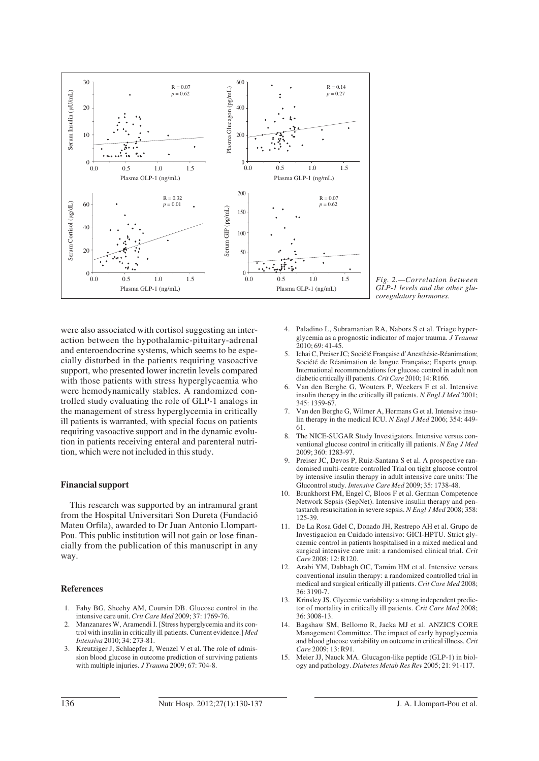

*Fig. 2.—Correlation between GLP-1 levels and the other glucoregulatory hormones.* 

were also associated with cortisol suggesting an interaction between the hypothalamic-pituitary-adrenal and enteroendocrine systems, which seems to be especially disturbed in the patients requiring vasoactive support, who presented lower incretin levels compared with those patients with stress hyperglycaemia who were hemodynamically stables. A randomized controlled study evaluating the role of GLP-1 analogs in the management of stress hyperglycemia in critically ill patients is warranted, with special focus on patients requiring vasoactive support and in the dynamic evolution in patients receiving enteral and parenteral nutrition, which were not included in this study.

#### **Financial support**

This research was supported by an intramural grant from the Hospital Universitari Son Dureta (Fundació Mateu Orfila), awarded to Dr Juan Antonio Llompart-Pou. This public institution will not gain or lose financially from the publication of this manuscript in any way.

## **References**

- 1. Fahy BG, Sheehy AM, Coursin DB. Glucose control in the intensive care unit. *Crit Care Med* 2009; 37: 1769-76.
- 2. Manzanares W, Aramendi I. [Stress hyperglycemia and its control with insulin in critically ill patients. Current evidence.] *Med Intensiva* 2010; 34: 273-81.
- 3. Kreutziger J, Schlaepfer J, Wenzel V et al. The role of admission blood glucose in outcome prediction of surviving patients with multiple injuries. *J Trauma* 2009; 67: 704-8.
- 4. Paladino L, Subramanian RA, Nabors S et al. Triage hyperglycemia as a prognostic indicator of major trauma. *J Trauma*  $2010:69:41-45$
- 5. Ichai C, Preiser JC; Société Française d'Anesthésie-Réanimation; Société de Réanimation de langue Française; Experts group. International recommendations for glucose control in adult non diabetic critically ill patients. *Crit Care* 2010; 14: R166.
- 6. Van den Berghe G, Wouters P, Weekers F et al. Intensive insulin therapy in the critically ill patients. *N Engl J Med* 2001; 345: 1359-67.
- 7. Van den Berghe G, Wilmer A, Hermans G et al. Intensive insulin therapy in the medical ICU. *N Engl J Med* 2006; 354: 449- 61.
- 8. The NICE-SUGAR Study Investigators. Intensive versus conventional glucose control in critically ill patients. *N Eng J Med* 2009; 360: 1283-97.
- 9. Preiser JC, Devos P, Ruiz-Santana S et al. A prospective randomised multi-centre controlled Trial on tight glucose control by intensive insulin therapy in adult intensive care units: The Glucontrol study. *Intensive Care Med* 2009; 35: 1738-48.
- 10. Brunkhorst FM, Engel C, Bloos F et al. German Competence Network Sepsis (SepNet). Intensive insulin therapy and pentastarch resuscitation in severe sepsis. *N Engl J Med* 2008; 358: 125-39.
- 11. De La Rosa Gdel C, Donado JH, Restrepo AH et al. Grupo de Investigacion en Cuidado intensivo: GICI-HPTU. Strict glycaemic control in patients hospitalised in a mixed medical and surgical intensive care unit: a randomised clinical trial. *Crit Care* 2008; 12: R120.
- 12. Arabi YM, Dabbagh OC, Tamim HM et al. Intensive versus conventional insulin therapy: a randomized controlled trial in medical and surgical critically ill patients. *Crit Care Med* 2008; 36: 3190-7.
- 13. Krinsley JS. Glycemic variability: a strong independent predictor of mortality in critically ill patients. *Crit Care Med* 2008; 36: 3008-13.
- 14. Bagshaw SM, Bellomo R, Jacka MJ et al. ANZICS CORE Management Committee. The impact of early hypoglycemia and blood glucose variability on outcome in critical illness. *Crit Care* 2009; 13: R91.
- 15. Meier JJ, Nauck MA. Glucagon-like peptide (GLP-1) in biology and pathology. *Diabetes Metab Res Rev* 2005; 21: 91-117.